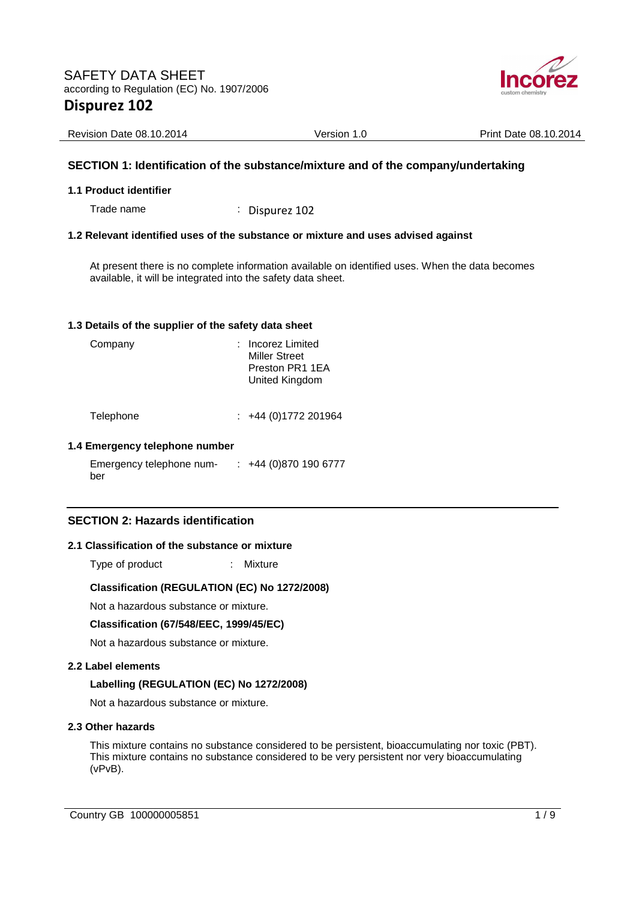

| <b>Revision Date 08.10.2014</b> | Version 1.0 | Print Date 08.10.2014 |
|---------------------------------|-------------|-----------------------|

## **SECTION 1: Identification of the substance/mixture and of the company/undertaking**

#### **1.1 Product identifier**

Trade name : Dispurez 102

### **1.2 Relevant identified uses of the substance or mixture and uses advised against**

At present there is no complete information available on identified uses. When the data becomes available, it will be integrated into the safety data sheet.

#### **1.3 Details of the supplier of the safety data sheet**

| Company   | : Incorez Limited<br><b>Miller Street</b><br>Preston PR1 1EA<br>United Kingdom |
|-----------|--------------------------------------------------------------------------------|
| Telephone | +44 (0) 1772 201964                                                            |

# **1.4 Emergency telephone number**

Emergency telephone number : +44 (0)870 190 6777

## **SECTION 2: Hazards identification**

#### **2.1 Classification of the substance or mixture**

Type of product : Mixture

#### **Classification (REGULATION (EC) No 1272/2008)**

Not a hazardous substance or mixture.

#### **Classification (67/548/EEC, 1999/45/EC)**

Not a hazardous substance or mixture.

#### **2.2 Label elements**

#### **Labelling (REGULATION (EC) No 1272/2008)**

Not a hazardous substance or mixture.

#### **2.3 Other hazards**

This mixture contains no substance considered to be persistent, bioaccumulating nor toxic (PBT). This mixture contains no substance considered to be very persistent nor very bioaccumulating (vPvB).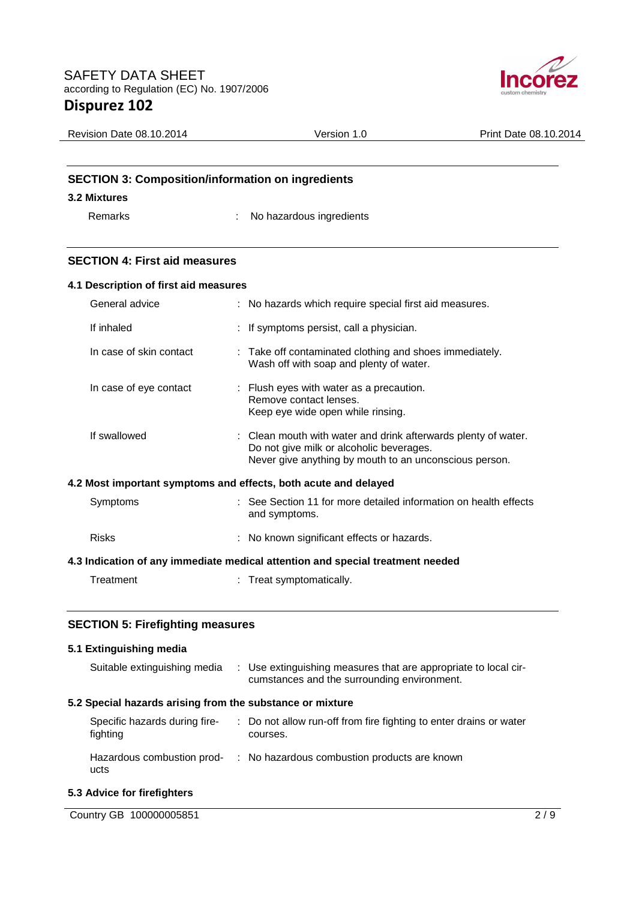

| <b>Revision Date 08.10.2014</b>                          | Version 1.0 | Print Date 08.10.2014 |
|----------------------------------------------------------|-------------|-----------------------|
|                                                          |             |                       |
|                                                          |             |                       |
| <b>SECTION 3: Composition/information on ingredients</b> |             |                       |

# **3.2 Mixtures**

Remarks : No hazardous ingredients

# **SECTION 4: First aid measures**

|                                                                                | 4.1 Description of first aid measures |  |                                                                                                                                                                      |
|--------------------------------------------------------------------------------|---------------------------------------|--|----------------------------------------------------------------------------------------------------------------------------------------------------------------------|
|                                                                                | General advice                        |  | : No hazards which require special first aid measures.                                                                                                               |
|                                                                                | If inhaled                            |  | : If symptoms persist, call a physician.                                                                                                                             |
|                                                                                | In case of skin contact               |  | : Take off contaminated clothing and shoes immediately.<br>Wash off with soap and plenty of water.                                                                   |
|                                                                                | In case of eye contact                |  | : Flush eyes with water as a precaution.<br>Remove contact lenses.<br>Keep eye wide open while rinsing.                                                              |
|                                                                                | If swallowed                          |  | : Clean mouth with water and drink afterwards plenty of water.<br>Do not give milk or alcoholic beverages.<br>Never give anything by mouth to an unconscious person. |
| 4.2 Most important symptoms and effects, both acute and delayed                |                                       |  |                                                                                                                                                                      |
|                                                                                | Symptoms                              |  | : See Section 11 for more detailed information on health effects<br>and symptoms.                                                                                    |
|                                                                                | <b>Risks</b>                          |  | : No known significant effects or hazards.                                                                                                                           |
| 4.3 Indication of any immediate medical attention and special treatment needed |                                       |  |                                                                                                                                                                      |
|                                                                                | Treatment                             |  | : Treat symptomatically.                                                                                                                                             |

## **SECTION 5: Firefighting measures**

## **5.1 Extinguishing media**

| Suitable extinguishing media                              | : Use extinguishing measures that are appropriate to local cir-<br>cumstances and the surrounding environment. |
|-----------------------------------------------------------|----------------------------------------------------------------------------------------------------------------|
| 5.2 Special hazards arising from the substance or mixture |                                                                                                                |
| Specific hazards during fire-<br>fighting                 | : Do not allow run-off from fire fighting to enter drains or water<br>courses.                                 |
| Hazardous combustion prod-<br>ucts                        | : No hazardous combustion products are known                                                                   |

# **5.3 Advice for firefighters**

| Country GB 100000005851 |  |
|-------------------------|--|
|                         |  |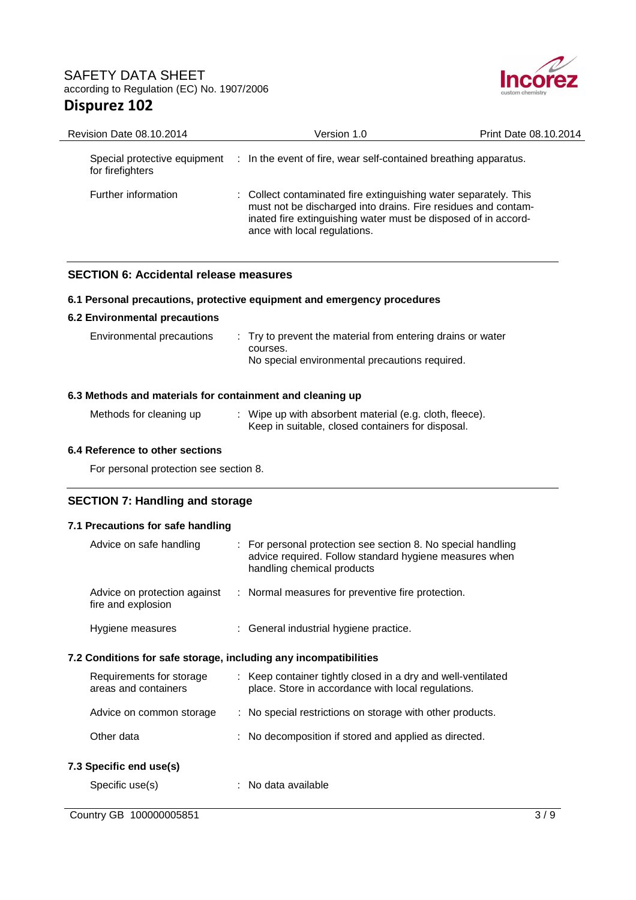

| <b>Revision Date 08.10.2014</b> | Version 1.0                                                                                                                                                                                                                         | <b>Print Date 08.10.2014</b> |
|---------------------------------|-------------------------------------------------------------------------------------------------------------------------------------------------------------------------------------------------------------------------------------|------------------------------|
| for firefighters                | Special protective equipment : In the event of fire, wear self-contained breathing apparatus.                                                                                                                                       |                              |
| Further information             | : Collect contaminated fire extinguishing water separately. This<br>must not be discharged into drains. Fire residues and contam-<br>inated fire extinguishing water must be disposed of in accord-<br>ance with local regulations. |                              |

## **SECTION 6: Accidental release measures**

### **6.1 Personal precautions, protective equipment and emergency procedures**

### **6.2 Environmental precautions**

| Environmental precautions | : Try to prevent the material from entering drains or water |
|---------------------------|-------------------------------------------------------------|
|                           | courses.                                                    |
|                           | No special environmental precautions required.              |

## **6.3 Methods and materials for containment and cleaning up**

| Methods for cleaning up | Wipe up with absorbent material (e.g. cloth, fleece). |
|-------------------------|-------------------------------------------------------|
|                         | Keep in suitable, closed containers for disposal.     |

## **6.4 Reference to other sections**

For personal protection see section 8.

## **SECTION 7: Handling and storage**

## **7.1 Precautions for safe handling**

|                                                                  | Advice on safe handling                            |  | : For personal protection see section 8. No special handling<br>advice required. Follow standard hygiene measures when<br>handling chemical products |
|------------------------------------------------------------------|----------------------------------------------------|--|------------------------------------------------------------------------------------------------------------------------------------------------------|
|                                                                  | Advice on protection against<br>fire and explosion |  | : Normal measures for preventive fire protection.                                                                                                    |
|                                                                  | Hygiene measures                                   |  | : General industrial hygiene practice.                                                                                                               |
| 7.2 Conditions for safe storage, including any incompatibilities |                                                    |  |                                                                                                                                                      |
|                                                                  | Requirements for storage<br>areas and containers   |  | : Keep container tightly closed in a dry and well-ventilated<br>place. Store in accordance with local regulations.                                   |
|                                                                  | Advice on common storage                           |  | : No special restrictions on storage with other products.                                                                                            |
|                                                                  | Other data                                         |  | : No decomposition if stored and applied as directed.                                                                                                |
|                                                                  | 7.3 Specific end use(s)                            |  |                                                                                                                                                      |
|                                                                  | Specific use(s)                                    |  | $:$ No data available                                                                                                                                |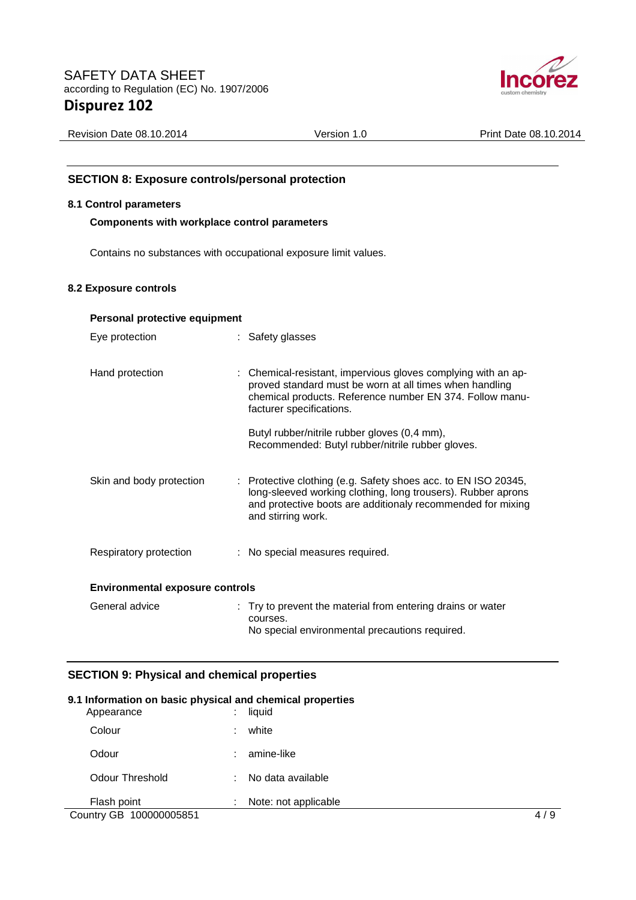

| Revision Date 08.10.2014<br>Version | Print Date 08.10.2014 |
|-------------------------------------|-----------------------|
|-------------------------------------|-----------------------|

## **SECTION 8: Exposure controls/personal protection**

### **8.1 Control parameters**

**Components with workplace control parameters** 

Contains no substances with occupational exposure limit values.

### **8.2 Exposure controls**

| Personal protective equipment          |  |                                                                                                                                                                                                                     |  |
|----------------------------------------|--|---------------------------------------------------------------------------------------------------------------------------------------------------------------------------------------------------------------------|--|
| Eye protection                         |  | : Safety glasses                                                                                                                                                                                                    |  |
| Hand protection                        |  | : Chemical-resistant, impervious gloves complying with an ap-<br>proved standard must be worn at all times when handling<br>chemical products. Reference number EN 374. Follow manu-<br>facturer specifications.    |  |
|                                        |  | Butyl rubber/nitrile rubber gloves (0,4 mm),<br>Recommended: Butyl rubber/nitrile rubber gloves.                                                                                                                    |  |
| Skin and body protection               |  | : Protective clothing (e.g. Safety shoes acc. to EN ISO 20345,<br>long-sleeved working clothing, long trousers). Rubber aprons<br>and protective boots are additionaly recommended for mixing<br>and stirring work. |  |
| Respiratory protection                 |  | : No special measures required.                                                                                                                                                                                     |  |
| <b>Environmental exposure controls</b> |  |                                                                                                                                                                                                                     |  |
| General advice                         |  | : Try to prevent the material from entering drains or water<br>courses.<br>No special environmental precautions required.                                                                                           |  |

## **SECTION 9: Physical and chemical properties**

### **9.1 Information on basic physical and chemical properties**

| Appearance              | ٠<br>$\blacksquare$ | liquid               |     |
|-------------------------|---------------------|----------------------|-----|
| Colour                  | ÷                   | white                |     |
| Odour                   | ٠                   | amine-like           |     |
| Odour Threshold         | ÷                   | No data available    |     |
| Flash point             | ٠                   | Note: not applicable |     |
| Country GB 100000005851 |                     |                      | 4/9 |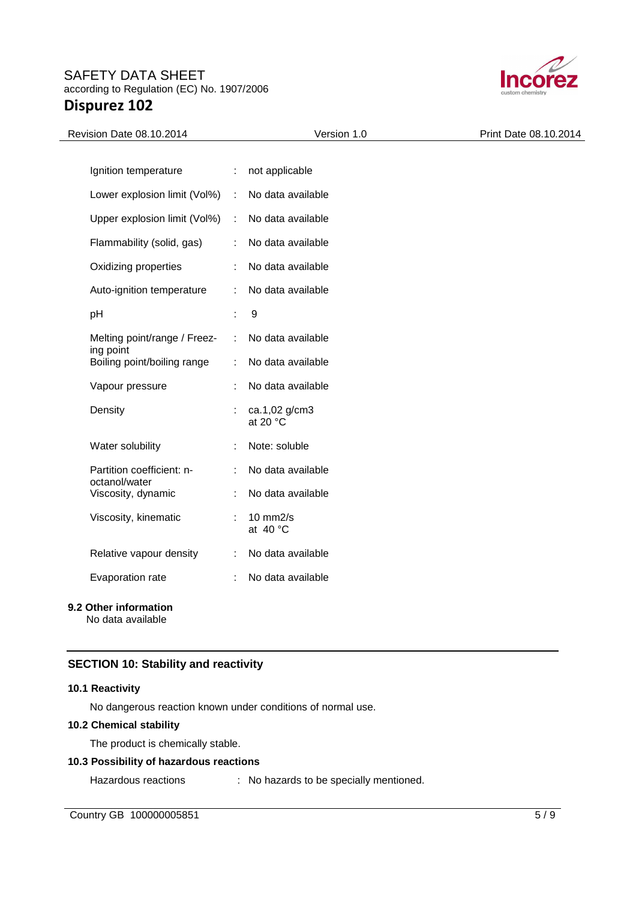

| Revision Date 08.10.2014                 |                             | Version 1.0                 | Print Date 08.10.2014 |
|------------------------------------------|-----------------------------|-----------------------------|-----------------------|
|                                          |                             |                             |                       |
| Ignition temperature                     | $\mathcal{L}^{\mathcal{L}}$ | not applicable              |                       |
| Lower explosion limit (Vol%) :           |                             | No data available           |                       |
| Upper explosion limit (Vol%)             | $\sim 10$                   | No data available           |                       |
| Flammability (solid, gas)                |                             | No data available           |                       |
| Oxidizing properties                     | ÷                           | No data available           |                       |
| Auto-ignition temperature                | ÷                           | No data available           |                       |
| pH                                       | ÷                           | $\boldsymbol{9}$            |                       |
| Melting point/range / Freez-             | ÷                           | No data available           |                       |
| ing point<br>Boiling point/boiling range |                             | No data available           |                       |
| Vapour pressure                          |                             | No data available           |                       |
| Density                                  |                             | ca.1,02 g/cm3<br>at 20 °C   |                       |
| Water solubility                         |                             | Note: soluble               |                       |
| Partition coefficient: n-                |                             | No data available           |                       |
| octanol/water<br>Viscosity, dynamic      |                             | No data available           |                       |
| Viscosity, kinematic                     | ÷                           | $10$ mm $2/s$<br>at $40 °C$ |                       |
| Relative vapour density                  | ÷                           | No data available           |                       |
| Evaporation rate                         |                             | No data available           |                       |
|                                          |                             |                             |                       |

# **9.2 Other information**

No data available

# **SECTION 10: Stability and reactivity**

### **10.1 Reactivity**

No dangerous reaction known under conditions of normal use.

### **10.2 Chemical stability**

The product is chemically stable.

### **10.3 Possibility of hazardous reactions**

Hazardous reactions : No hazards to be specially mentioned.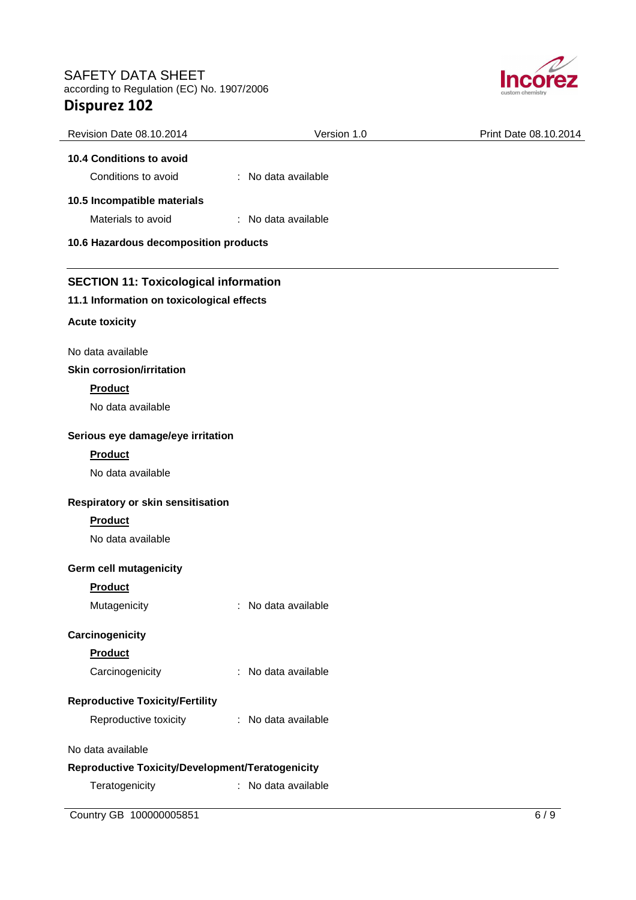

| Revision Date 08.10.2014                         | Version 1.0            | Print Date 08.10.2014 |
|--------------------------------------------------|------------------------|-----------------------|
| 10.4 Conditions to avoid                         |                        |                       |
| Conditions to avoid                              | : No data available    |                       |
| 10.5 Incompatible materials                      |                        |                       |
| Materials to avoid                               | : No data available    |                       |
| 10.6 Hazardous decomposition products            |                        |                       |
| <b>SECTION 11: Toxicological information</b>     |                        |                       |
| 11.1 Information on toxicological effects        |                        |                       |
| <b>Acute toxicity</b>                            |                        |                       |
| No data available                                |                        |                       |
| <b>Skin corrosion/irritation</b>                 |                        |                       |
| <b>Product</b>                                   |                        |                       |
| No data available                                |                        |                       |
| Serious eye damage/eye irritation                |                        |                       |
| <b>Product</b>                                   |                        |                       |
| No data available                                |                        |                       |
| Respiratory or skin sensitisation                |                        |                       |
| Product                                          |                        |                       |
| No data available                                |                        |                       |
| Germ cell mutagenicity                           |                        |                       |
| <b>Product</b>                                   |                        |                       |
| Mutagenicity                                     | No data available      |                       |
| Carcinogenicity                                  |                        |                       |
| Product                                          |                        |                       |
| Carcinogenicity                                  | No data available<br>÷ |                       |
| <b>Reproductive Toxicity/Fertility</b>           |                        |                       |
| Reproductive toxicity                            | : No data available    |                       |
| No data available                                |                        |                       |
| Reproductive Toxicity/Development/Teratogenicity |                        |                       |
| Teratogenicity                                   | : No data available    |                       |

**Country GB 100000005851** 6 / 9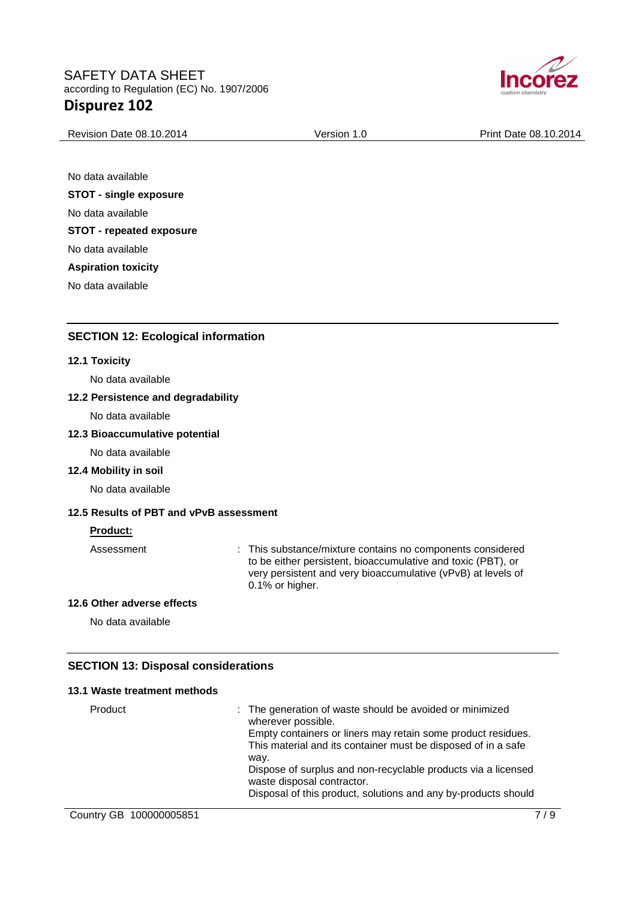

| Revision Date 08.10.2014 | Version 1.0 | Print Date 08.10.2014 |
|--------------------------|-------------|-----------------------|

No data available **STOT - single exposure**  No data available **STOT - repeated exposure**  No data available **Aspiration toxicity**  No data available

## **SECTION 12: Ecological information**

#### **12.1 Toxicity**

No data available

#### **12.2 Persistence and degradability**

No data available

#### **12.3 Bioaccumulative potential**

No data available

#### **12.4 Mobility in soil**

No data available

## **12.5 Results of PBT and vPvB assessment**

#### **Product:**

Assessment : This substance/mixture contains no components considered to be either persistent, bioaccumulative and toxic (PBT), or very persistent and very bioaccumulative (vPvB) at levels of 0.1% or higher.

#### **12.6 Other adverse effects**

No data available

### **SECTION 13: Disposal considerations**

#### **13.1 Waste treatment methods**

| Product | : The generation of waste should be avoided or minimized<br>wherever possible.                                                |
|---------|-------------------------------------------------------------------------------------------------------------------------------|
|         | Empty containers or liners may retain some product residues.<br>This material and its container must be disposed of in a safe |
|         | way.                                                                                                                          |
|         | Dispose of surplus and non-recyclable products via a licensed<br>waste disposal contractor.                                   |
|         | Disposal of this product, solutions and any by-products should                                                                |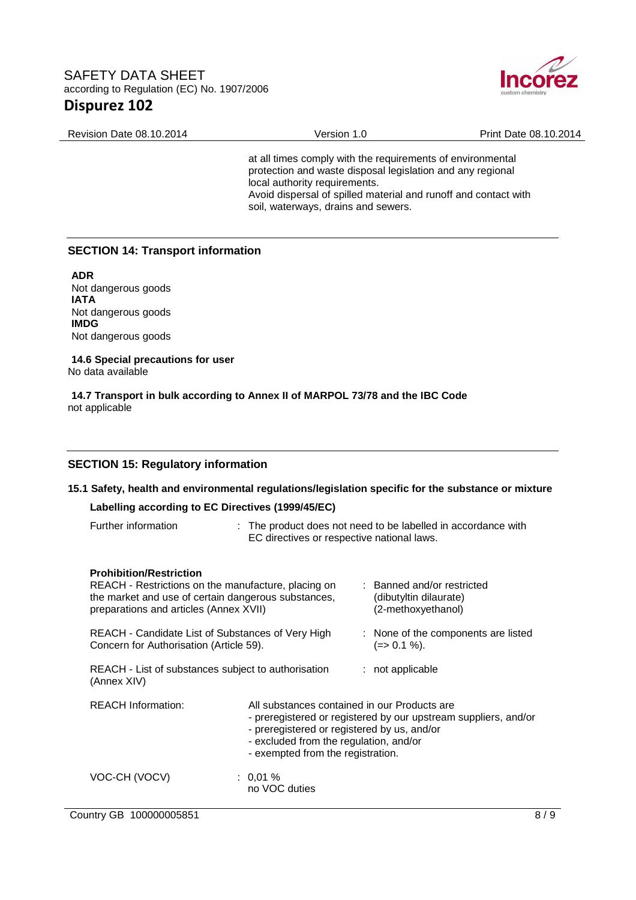

Revision Date 08.10.2014 Version 1.0 Print Date 08.10.2014 at all times comply with the requirements of environmental protection and waste disposal legislation and any regional local authority requirements. Avoid dispersal of spilled material and runoff and contact with

soil, waterways, drains and sewers.

## **SECTION 14: Transport information**

**ADR** Not dangerous goods **IATA** Not dangerous goods **IMDG** Not dangerous goods

**14.6 Special precautions for user** No data available

**14.7 Transport in bulk according to Annex II of MARPOL 73/78 and the IBC Code** not applicable

### **SECTION 15: Regulatory information**

| 15.1 Safety, health and environmental regulations/legislation specific for the substance or mixture                                                                                                                                                                                                                                                          |                                                                                                                                                                                                                                               |  |                                                                                                                                                       |
|--------------------------------------------------------------------------------------------------------------------------------------------------------------------------------------------------------------------------------------------------------------------------------------------------------------------------------------------------------------|-----------------------------------------------------------------------------------------------------------------------------------------------------------------------------------------------------------------------------------------------|--|-------------------------------------------------------------------------------------------------------------------------------------------------------|
| Labelling according to EC Directives (1999/45/EC)                                                                                                                                                                                                                                                                                                            |                                                                                                                                                                                                                                               |  |                                                                                                                                                       |
| Further information                                                                                                                                                                                                                                                                                                                                          | : The product does not need to be labelled in accordance with<br>EC directives or respective national laws.                                                                                                                                   |  |                                                                                                                                                       |
| <b>Prohibition/Restriction</b><br>REACH - Restrictions on the manufacture, placing on<br>the market and use of certain dangerous substances,<br>preparations and articles (Annex XVII)<br>REACH - Candidate List of Substances of Very High<br>Concern for Authorisation (Article 59).<br>REACH - List of substances subject to authorisation<br>(Annex XIV) |                                                                                                                                                                                                                                               |  | : Banned and/or restricted<br>(dibutyltin dilaurate)<br>(2-methoxyethanol)<br>: None of the components are listed<br>$(=>0.1\%).$<br>: not applicable |
| <b>REACH Information:</b>                                                                                                                                                                                                                                                                                                                                    | All substances contained in our Products are<br>- preregistered or registered by our upstream suppliers, and/or<br>- preregistered or registered by us, and/or<br>- excluded from the regulation, and/or<br>- exempted from the registration. |  |                                                                                                                                                       |
| VOC-CH (VOCV)                                                                                                                                                                                                                                                                                                                                                | $: 0.01 \%$<br>no VOC duties                                                                                                                                                                                                                  |  |                                                                                                                                                       |

Country GB 100000005851 8/9